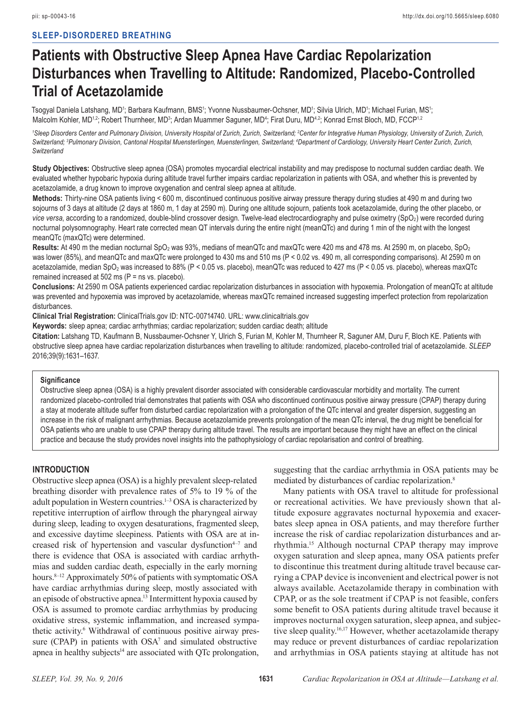# **SLEEP-DISORDERED BREATHING**

# **Patients with Obstructive Sleep Apnea Have Cardiac Repolarization Disturbances when Travelling to Altitude: Randomized, Placebo-Controlled Trial of Acetazolamide**

Tsogyal Daniela Latshang, MD<sup>1</sup>; Barbara Kaufmann, BMS<sup>1</sup>; Yvonne Nussbaumer-Ochsner, MD<sup>1</sup>; Silvia Ulrich, MD<sup>1</sup>; Michael Furian, MS<sup>1</sup>; Malcolm Kohler, MD<sup>1,2</sup>; Robert Thurnheer, MD<sup>3</sup>; Ardan Muammer Saguner, MD<sup>4</sup>; Firat Duru, MD<sup>4,2</sup>; Konrad Ernst Bloch, MD, FCCP<sup>1,2</sup>

<sup>1</sup>Sleep Disorders Center and Pulmonary Division, University Hospital of Zurich, Zurich, Switzerland; <sup>2</sup>Center for Integrative Human Physiology, University of Zurich, Zurich, Switzerland; <sup>3</sup>Pulmonary Division, Cantonal Hospital Muensterlingen, Muensterlingen, Switzerland; <sup>4</sup>Department of Cardiology, University Heart Center Zurich, Zurich, *Switzerland*

**Study Objectives:** Obstructive sleep apnea (OSA) promotes myocardial electrical instability and may predispose to nocturnal sudden cardiac death. We evaluated whether hypobaric hypoxia during altitude travel further impairs cardiac repolarization in patients with OSA, and whether this is prevented by acetazolamide, a drug known to improve oxygenation and central sleep apnea at altitude.

**Methods:** Thirty-nine OSA patients living < 600 m, discontinued continuous positive airway pressure therapy during studies at 490 m and during two sojourns of 3 days at altitude (2 days at 1860 m, 1 day at 2590 m). During one altitude sojourn, patients took acetazolamide, during the other placebo, or *vice versa*, according to a randomized, double-blind crossover design. Twelve-lead electrocardiography and pulse oximetry (SpO<sub>2</sub>) were recorded during nocturnal polysomnography. Heart rate corrected mean QT intervals during the entire night (meanQTc) and during 1 min of the night with the longest meanQTc (maxQTc) were determined.

**Results:** At 490 m the median nocturnal SpO<sub>2</sub> was 93%, medians of meanQTc and maxQTc were 420 ms and 478 ms. At 2590 m, on placebo, SpO<sub>2</sub> was lower (85%), and meanQTc and maxQTc were prolonged to 430 ms and 510 ms (P < 0.02 vs. 490 m, all corresponding comparisons). At 2590 m on acetazolamide, median SpO<sub>2</sub> was increased to 88% (P < 0.05 vs. placebo), meanQTc was reduced to 427 ms (P < 0.05 vs. placebo), whereas maxQTc remained increased at 502 ms (P = ns vs. placebo).

**Conclusions:** At 2590 m OSA patients experienced cardiac repolarization disturbances in association with hypoxemia. Prolongation of meanQTc at altitude was prevented and hypoxemia was improved by acetazolamide, whereas maxQTc remained increased suggesting imperfect protection from repolarization disturbances.

**Clinical Trial Registration:** ClinicalTrials.gov ID: NTC-00714740. URL: www.clinicaltrials.gov

**Keywords:** sleep apnea; cardiac arrhythmias; cardiac repolarization; sudden cardiac death; altitude

**Citation:** Latshang TD, Kaufmann B, Nussbaumer-Ochsner Y, Ulrich S, Furian M, Kohler M, Thurnheer R, Saguner AM, Duru F, Bloch KE. Patients with obstructive sleep apnea have cardiac repolarization disturbances when travelling to altitude: randomized, placebo-controlled trial of acetazolamide. *SLEEP* 2016;39(9):1631–1637.

#### **Signifcance**

Obstructive sleep apnea (OSA) is a highly prevalent disorder associated with considerable cardiovascular morbidity and mortality. The current randomized placebo-controlled trial demonstrates that patients with OSA who discontinued continuous positive airway pressure (CPAP) therapy during a stay at moderate altitude suffer from disturbed cardiac repolarization with a prolongation of the QTc interval and greater dispersion, suggesting an increase in the risk of malignant arrhythmias. Because acetazolamide prevents prolongation of the mean QTc interval, the drug might be benefcial for OSA patients who are unable to use CPAP therapy during altitude travel. The results are important because they might have an effect on the clinical practice and because the study provides novel insights into the pathophysiology of cardiac repolarisation and control of breathing.

#### **INTRODUCTION**

Obstructive sleep apnea (OSA) is a highly prevalent sleep-related breathing disorder with prevalence rates of 5% to 19 % of the adult population in Western countries.1–3 OSA is characterized by repetitive interruption of airfow through the pharyngeal airway during sleep, leading to oxygen desaturations, fragmented sleep, and excessive daytime sleepiness. Patients with OSA are at increased risk of hypertension and vascular dysfunction $4-7$  and there is evidence that OSA is associated with cardiac arrhythmias and sudden cardiac death, especially in the early morning hours.<sup>8–12</sup> Approximately 50% of patients with symptomatic OSA have cardiac arrhythmias during sleep, mostly associated with an episode of obstructive apnea.13 Intermittent hypoxia caused by OSA is assumed to promote cardiac arrhythmias by producing oxidative stress, systemic infammation, and increased sympathetic activity.<sup>6</sup> Withdrawal of continuous positive airway pressure (CPAP) in patients with  $OSA<sup>7</sup>$  and simulated obstructive apnea in healthy subjects<sup>14</sup> are associated with QTc prolongation, suggesting that the cardiac arrhythmia in OSA patients may be mediated by disturbances of cardiac repolarization.8

Many patients with OSA travel to altitude for professional or recreational activities. We have previously shown that altitude exposure aggravates nocturnal hypoxemia and exacerbates sleep apnea in OSA patients, and may therefore further increase the risk of cardiac repolarization disturbances and arrhythmia.15 Although nocturnal CPAP therapy may improve oxygen saturation and sleep apnea, many OSA patients prefer to discontinue this treatment during altitude travel because carrying a CPAP device is inconvenient and electrical power is not always available. Acetazolamide therapy in combination with CPAP, or as the sole treatment if CPAP is not feasible, confers some beneft to OSA patients during altitude travel because it improves nocturnal oxygen saturation, sleep apnea, and subjective sleep quality.16,17 However, whether acetazolamide therapy may reduce or prevent disturbances of cardiac repolarization and arrhythmias in OSA patients staying at altitude has not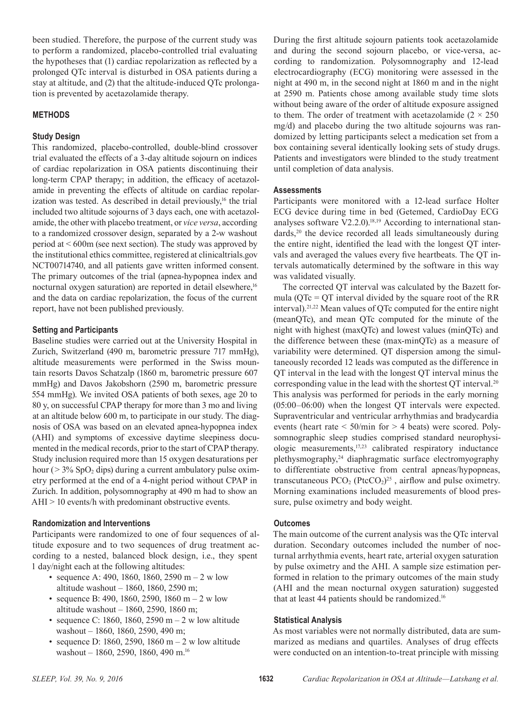been studied. Therefore, the purpose of the current study was to perform a randomized, placebo-controlled trial evaluating the hypotheses that (1) cardiac repolarization as refected by a prolonged QTc interval is disturbed in OSA patients during a stay at altitude, and (2) that the altitude-induced QTc prolongation is prevented by acetazolamide therapy.

# **METHODS**

## **Study Design**

This randomized, placebo-controlled, double-blind crossover trial evaluated the effects of a 3-day altitude sojourn on indices of cardiac repolarization in OSA patients discontinuing their long-term CPAP therapy; in addition, the efficacy of acetazolamide in preventing the effects of altitude on cardiac repolarization was tested. As described in detail previously, $16$  the trial included two altitude sojourns of 3 days each, one with acetazolamide, the other with placebo treatment, or *vice versa*, according to a randomized crossover design, separated by a 2-w washout period at < 600m (see next section). The study was approved by the institutional ethics committee, registered at clinicaltrials.gov NCT00714740, and all patients gave written informed consent. The primary outcomes of the trial (apnea-hypopnea index and nocturnal oxygen saturation) are reported in detail elsewhere,<sup>16</sup> and the data on cardiac repolarization, the focus of the current report, have not been published previously.

#### **Setting and Participants**

Baseline studies were carried out at the University Hospital in Zurich, Switzerland (490 m, barometric pressure 717 mmHg), altitude measurements were performed in the Swiss mountain resorts Davos Schatzalp (1860 m, barometric pressure 607 mmHg) and Davos Jakobshorn (2590 m, barometric pressure 554 mmHg). We invited OSA patients of both sexes, age 20 to 80 y, on successful CPAP therapy for more than 3 mo and living at an altitude below 600 m, to participate in our study. The diagnosis of OSA was based on an elevated apnea-hypopnea index (AHI) and symptoms of excessive daytime sleepiness documented in the medical records, prior to the start of CPAP therapy. Study inclusion required more than 15 oxygen desaturations per hour ( $> 3\%$  SpO<sub>2</sub> dips) during a current ambulatory pulse oximetry performed at the end of a 4-night period without CPAP in Zurich. In addition, polysomnography at 490 m had to show an AHI > 10 events/h with predominant obstructive events.

#### **Randomization and Interventions**

Participants were randomized to one of four sequences of altitude exposure and to two sequences of drug treatment according to a nested, balanced block design, i.e., they spent 1 day/night each at the following altitudes:

- sequence A: 490, 1860, 1860, 2590 m  $2$  w low altitude washout – 1860, 1860, 2590 m;
- sequence B: 490, 1860, 2590, 1860 m  $-2$  w low altitude washout – 1860, 2590, 1860 m;
- sequence C: 1860, 1860, 2590 m  $2$  w low altitude washout – 1860, 1860, 2590, 490 m;
- sequence D: 1860, 2590, 1860 m  $-$  2 w low altitude washout – 1860, 2590, 1860, 490 m.<sup>16</sup>

During the frst altitude sojourn patients took acetazolamide and during the second sojourn placebo, or vice-versa, according to randomization. Polysomnography and 12-lead electrocardiography (ECG) monitoring were assessed in the night at 490 m, in the second night at 1860 m and in the night at 2590 m. Patients chose among available study time slots without being aware of the order of altitude exposure assigned to them. The order of treatment with acetazolamide  $(2 \times 250)$ mg/d) and placebo during the two altitude sojourns was randomized by letting participants select a medication set from a box containing several identically looking sets of study drugs. Patients and investigators were blinded to the study treatment until completion of data analysis.

## **Assessments**

Participants were monitored with a 12-lead surface Holter ECG device during time in bed (Getemed, CardioDay ECG analyses software  $V2.2.0$ .<sup>18,19</sup> According to international standards,<sup>20</sup> the device recorded all leads simultaneously during the entire night, identifed the lead with the longest QT intervals and averaged the values every fve heartbeats. The QT intervals automatically determined by the software in this way was validated visually.

The corrected QT interval was calculated by the Bazett formula ( $QTc = QT$  interval divided by the square root of the RR interval).21,22 Mean values of QTc computed for the entire night (meanQTc), and mean QTc computed for the minute of the night with highest (maxQTc) and lowest values (minQTc) and the difference between these (max-minQTc) as a measure of variability were determined. QT dispersion among the simultaneously recorded 12 leads was computed as the difference in QT interval in the lead with the longest QT interval minus the corresponding value in the lead with the shortest QT interval.20 This analysis was performed for periods in the early morning (05:00–06:00) when the longest QT intervals were expected. Supraventricular and ventricular arrhythmias and bradycardia events (heart rate < 50/min for > 4 beats) were scored. Polysomnographic sleep studies comprised standard neurophysiologic measurements,17,23 calibrated respiratory inductance plethysmography,<sup>24</sup> diaphragmatic surface electromyography to differentiate obstructive from central apneas/hypopneas, transcutaneous  $PCO<sub>2</sub>$  (PtcCO<sub>2</sub>)<sup>25</sup>, airflow and pulse oximetry. Morning examinations included measurements of blood pressure, pulse oximetry and body weight.

#### **Outcomes**

The main outcome of the current analysis was the QTc interval duration. Secondary outcomes included the number of nocturnal arrhythmia events, heart rate, arterial oxygen saturation by pulse oximetry and the AHI. A sample size estimation performed in relation to the primary outcomes of the main study (AHI and the mean nocturnal oxygen saturation) suggested that at least 44 patients should be randomized.<sup>16</sup>

## **Statistical Analysis**

As most variables were not normally distributed, data are summarized as medians and quartiles. Analyses of drug effects were conducted on an intention-to-treat principle with missing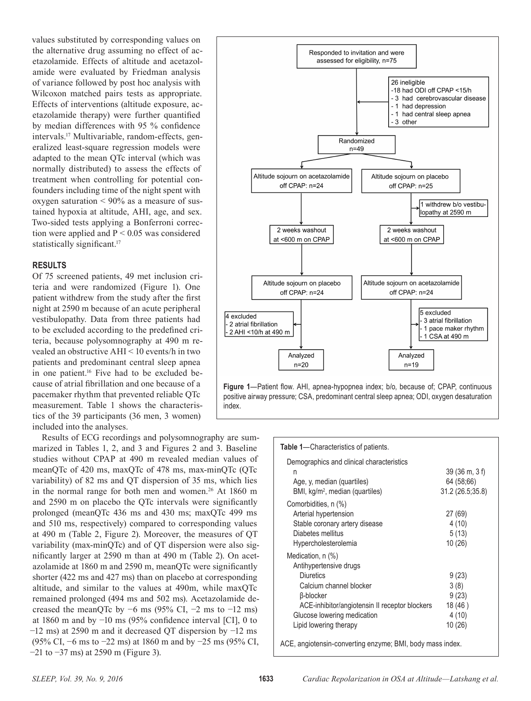values substituted by corresponding values on the alternative drug assuming no effect of acetazolamide. Effects of altitude and acetazolamide were evaluated by Friedman analysis of variance followed by post hoc analysis with Wilcoxon matched pairs tests as appropriate. Effects of interventions (altitude exposure, acetazolamide therapy) were further quantifed by median differences with 95 % confdence intervals.17 Multivariable, random-effects, generalized least-square regression models were adapted to the mean QTc interval (which was normally distributed) to assess the effects of treatment when controlling for potential confounders including time of the night spent with oxygen saturation  $\leq 90\%$  as a measure of sustained hypoxia at altitude, AHI, age, and sex. Two-sided tests applying a Bonferroni correction were applied and  $P < 0.05$  was considered statistically significant.<sup>17</sup>

## **RESULTS**

Of 75 screened patients, 49 met inclusion criteria and were randomized (Figure 1). One patient withdrew from the study after the frst night at 2590 m because of an acute peripheral vestibulopathy. Data from three patients had to be excluded according to the predefned criteria, because polysomnography at 490 m revealed an obstructive AHI < 10 events/h in two patients and predominant central sleep apnea in one patient.<sup>16</sup> Five had to be excluded because of atrial fbrillation and one because of a pacemaker rhythm that prevented reliable QTc measurement. Table 1 shows the characteristics of the 39 participants (36 men, 3 women) included into the analyses.

Results of ECG recordings and polysomnography are summarized in Tables 1, 2, and 3 and Figures 2 and 3. Baseline studies without CPAP at 490 m revealed median values of meanQTc of 420 ms, maxQTc of 478 ms, max-minQTc (QTc variability) of 82 ms and QT dispersion of 35 ms, which lies in the normal range for both men and women.<sup>26</sup> At 1860 m and 2590 m on placebo the QTc intervals were signifcantly prolonged (meanQTc 436 ms and 430 ms; maxQTc 499 ms and 510 ms, respectively) compared to corresponding values at 490 m (Table 2, Figure 2). Moreover, the measures of QT variability (max-minQTc) and of QT dispersion were also signifcantly larger at 2590 m than at 490 m (Table 2). On acetazolamide at 1860 m and 2590 m, meanQTc were signifcantly shorter (422 ms and 427 ms) than on placebo at corresponding altitude, and similar to the values at 490m, while maxQTc remained prolonged (494 ms and 502 ms). Acetazolamide decreased the meanQTc by  $-6$  ms (95% CI,  $-2$  ms to  $-12$  ms) at 1860 m and by −10 ms (95% confdence interval [CI], 0 to −12 ms) at 2590 m and it decreased QT dispersion by −12 ms (95% CI, −6 ms to −22 ms) at 1860 m and by −25 ms (95% CI, −21 to −37 ms) at 2590 m (Figure 3).



positive airway pressure; CSA, predominant central sleep apnea; ODI, oxygen desaturation index.

#### **Table 1**—Characteristics of patients.

| Demographics and clinical characteristics                 |                                 |
|-----------------------------------------------------------|---------------------------------|
| n                                                         | $39(36 \text{ m}, 3 \text{ f})$ |
| Age, y, median (quartiles)                                | 64 (58;66)                      |
| BMI, kg/m <sup>2</sup> , median (quartiles)               | 31.2 (26.5;35.8)                |
| Comorbidities, n (%)                                      |                                 |
| Arterial hypertension                                     | 27 (69)                         |
| Stable coronary artery disease                            | 4(10)                           |
| Diabetes mellitus                                         | 5(13)                           |
| Hypercholesterolemia                                      | 10(26)                          |
| Medication, n (%)                                         |                                 |
| Antihypertensive drugs                                    |                                 |
| <b>Diuretics</b>                                          | 9(23)                           |
| Calcium channel blocker                                   | 3(8)                            |
| β-blocker                                                 | 9(23)                           |
| ACE-inhibitor/angiotensin II receptor blockers            | 18(46)                          |
| Glucose lowering medication                               | 4(10)                           |
| Lipid lowering therapy                                    | 10 (26)                         |
| ACE, angiotensin-converting enzyme; BMI, body mass index. |                                 |
|                                                           |                                 |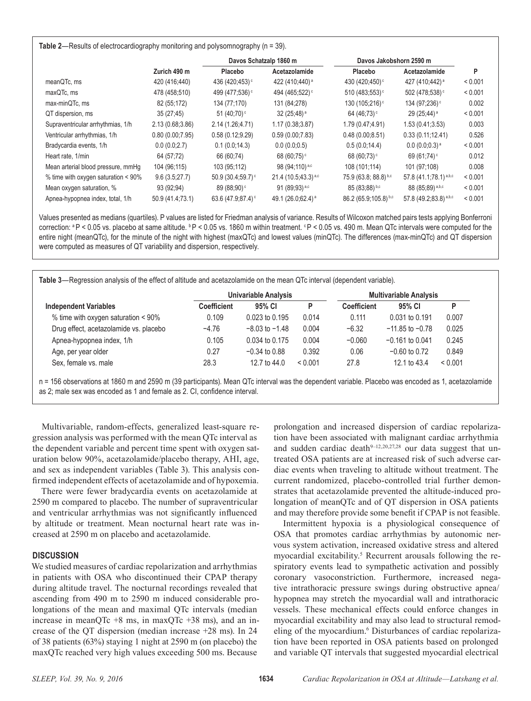#### **Table 2**—Results of electrocardiography monitoring and polysomnography (n = 39).

|                                     |                  |                               | Davos Schatzalp 1860 m        |                            | Davos Jakobshorn 2590 m             |         |
|-------------------------------------|------------------|-------------------------------|-------------------------------|----------------------------|-------------------------------------|---------|
|                                     | Zurich 490 m     | Placebo                       | Acetazolamide                 | Placebo                    | Acetazolamide                       | P       |
| meanQTc, ms                         | 420 (416:440)    | 436 (420:453) <sup>c</sup>    | 422 (410;440) <sup>a</sup>    | 430 (420;450) <sup>c</sup> | 427 (410:442) <sup>a</sup>          | < 0.001 |
| maxQTc, ms                          | 478 (458:510)    | 499 (477,536) <sup>c</sup>    | 494 (465;522) <sup>c</sup>    | 510 (483;553) $\circ$      | 502 (478:538) <sup>c</sup>          | < 0.001 |
| max-minQTc, ms                      | 82 (55;172)      | 134 (77,170)                  | 131 (84,278)                  | 130 (105;216) <sup>c</sup> | 134 (97:236) <sup>c</sup>           | 0.002   |
| QT dispersion, ms                   | 35(27, 45)       | 51 $(40,70)$ <sup>c</sup>     | $32(25,48)$ <sup>a</sup>      | 64 (46:73) <sup>c</sup>    | $29(25, 44)$ <sup>a</sup>           | < 0.001 |
| Supraventricular arrhythmias, 1/h   | 2.13(0.68, 3.86) | 2.14 (1.26;4.71)              | 1.17(0.38, 3.87)              | 1.79 (0.47;4.91)           | 1.53(0.41, 3.53)                    | 0.003   |
| Ventricular arrhythmias, 1/h        | 0.80(0.00, 7.95) | 0.58(0.12, 9.29)              | 0.59(0.00, 7.83)              | 0.48(0.00, 8.51)           | 0.33(0.11, 12.41)                   | 0.526   |
| Bradycardia events, 1/h             | 0.0(0.0;2.7)     | 0.1(0.0, 14.3)                | 0.0(0.0, 0.5)                 | 0.5(0.0, 14.4)             | $0.0(0.0,0.3)$ <sup>a</sup>         | < 0.001 |
| Heart rate, 1/min                   | 64 (57;72)       | 66 (60,74)                    | 68 (60:75) $\degree$          | 68 (60;73) <sup>c</sup>    | 69 $(61,74)$ °                      | 0.012   |
| Mean arterial blood pressure, mmHq  | 104 (96;115)     | 103 (95;112)                  | 98 (94;110) <sup>a,c</sup>    | 108 (101:114)              | 101 (97:108)                        | 0.008   |
| % time with oxygen saturation < 90% | 9.6(3.5, 27.7)   | $50.9(30.4,59.7)$ °           | $21.4(10.5, 43.3)^{a,c}$      | $75.9(63.8; 88.8)^{b,c}$   | 57.8 $(41.1,78.1)$ <sup>a,b,c</sup> | < 0.001 |
| Mean oxygen saturation, %           | 93 (92;94)       | 89 (88;90) <sup>c</sup>       | 91 (89,93) a,c                | $85(83,88)$ <sup>b,c</sup> | 88 (85;89) a,b,c                    | < 0.001 |
| Apnea-hypopnea index, total, 1/h    | 50.9 (41.4;73.1) | 63.6 (47.9;87.4) <sup>c</sup> | 49.1 (26.0,62.4) <sup>a</sup> | 86.2 (65.9;105.8) b,c      | 57.8 (49.2;83.8) a,b,c              | < 0.001 |

Values presented as medians (quartiles). P values are listed for Friedman analysis of variance. Results of Wilcoxon matched pairs tests applying Bonferroni correction:  ${}^{a}P$  < 0.05 vs. placebo at same altitude.  ${}^{b}P$  < 0.05 vs. 1860 m within treatment.  ${}^{c}P$  < 0.05 vs. 490 m. Mean QTc intervals were computed for the entire night (meanQTc), for the minute of the night with highest (maxQTc) and lowest values (minQTc). The differences (max-minQTc) and QT dispersion were computed as measures of QT variability and dispersion, respectively.

**Table 3**—Regression analysis of the effect of altitude and acetazolamide on the mean QTc interval (dependent variable).

|                                        | Univariable Analysis |                    |         | <b>Multivariable Analysis</b> |                     |         |
|----------------------------------------|----------------------|--------------------|---------|-------------------------------|---------------------|---------|
| <b>Independent Variables</b>           | Coefficient          | 95% CI             | D       | Coefficient                   | 95% CI              | D       |
| % time with oxygen saturation < 90%    | 0.109                | 0.023 to 0.195     | 0.014   | 0.111                         | 0.031 to 0.191      | 0.007   |
| Drug effect, acetazolamide vs. placebo | $-4.76$              | $-8.03$ to $-1.48$ | 0.004   | $-6.32$                       | $-11.85$ to $-0.78$ | 0.025   |
| Apnea-hypopnea index, 1/h              | 0.105                | 0.034 to 0.175     | 0.004   | $-0.060$                      | $-0.161$ to 0.041   | 0.245   |
| Age, per year older                    | 0.27                 | $-0.34$ to 0.88    | 0.392   | 0.06                          | $-0.60$ to 0.72     | 0.849   |
| Sex, female vs. male                   | 28.3                 | 12.7 to $44.0$     | < 0.001 | 27.8                          | 12.1 to 43.4        | < 0.001 |

n = 156 observations at 1860 m and 2590 m (39 participants). Mean QTc interval was the dependent variable. Placebo was encoded as 1, acetazolamide as 2; male sex was encoded as 1 and female as 2. CI, confdence interval.

Multivariable, random-effects, generalized least-square regression analysis was performed with the mean QTc interval as the dependent variable and percent time spent with oxygen saturation below 90%, acetazolamide/placebo therapy, AHI, age, and sex as independent variables (Table 3). This analysis confrmed independent effects of acetazolamide and of hypoxemia.

There were fewer bradycardia events on acetazolamide at 2590 m compared to placebo. The number of supraventricular and ventricular arrhythmias was not signifcantly infuenced by altitude or treatment. Mean nocturnal heart rate was increased at 2590 m on placebo and acetazolamide.

#### **DISCUSSION**

We studied measures of cardiac repolarization and arrhythmias in patients with OSA who discontinued their CPAP therapy during altitude travel. The nocturnal recordings revealed that ascending from 490 m to 2590 m induced considerable prolongations of the mean and maximal QTc intervals (median increase in meanQTc  $+8$  ms, in maxQTc  $+38$  ms), and an increase of the QT dispersion (median increase +28 ms). In 24 of 38 patients (63%) staying 1 night at 2590 m (on placebo) the maxQTc reached very high values exceeding 500 ms. Because

prolongation and increased dispersion of cardiac repolarization have been associated with malignant cardiac arrhythmia and sudden cardiac death<sup>9-12,20,27,28</sup> our data suggest that untreated OSA patients are at increased risk of such adverse cardiac events when traveling to altitude without treatment. The current randomized, placebo-controlled trial further demonstrates that acetazolamide prevented the altitude-induced prolongation of meanQTc and of QT dispersion in OSA patients and may therefore provide some beneft if CPAP is not feasible.

Intermittent hypoxia is a physiological consequence of OSA that promotes cardiac arrhythmias by autonomic nervous system activation, increased oxidative stress and altered myocardial excitability.<sup>5</sup> Recurrent arousals following the respiratory events lead to sympathetic activation and possibly coronary vasoconstriction. Furthermore, increased negative intrathoracic pressure swings during obstructive apnea/ hypopnea may stretch the myocardial wall and intrathoracic vessels. These mechanical effects could enforce changes in myocardial excitability and may also lead to structural remodeling of the myocardium.<sup>6</sup> Disturbances of cardiac repolarization have been reported in OSA patients based on prolonged and variable QT intervals that suggested myocardial electrical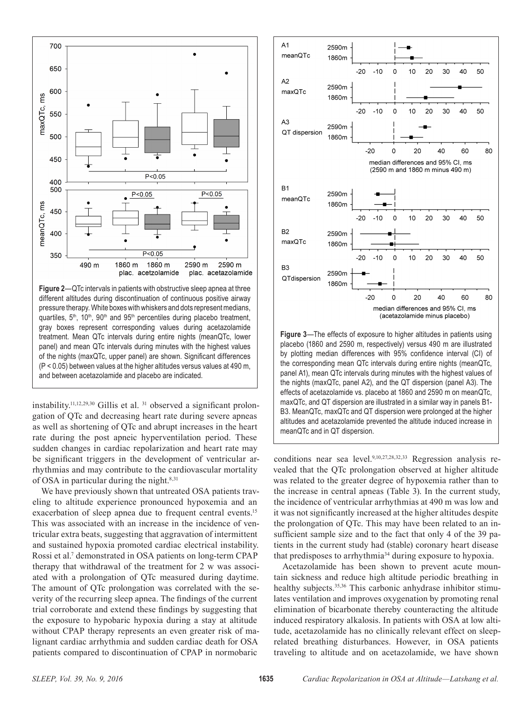

**Figure 2**—QTc intervals in patients with obstructive sleep apnea at three different altitudes during discontinuation of continuous positive airway pressure therapy. White boxes with whiskers and dots represent medians, quartiles,  $5<sup>th</sup>$ ,  $10<sup>th</sup>$ ,  $90<sup>th</sup>$  and  $95<sup>th</sup>$  percentiles during placebo treatment, gray boxes represent corresponding values during acetazolamide treatment. Mean QTc intervals during entire nights (meanQTc, lower panel) and mean QTc intervals during minutes with the highest values of the nights (maxQTc, upper panel) are shown. Signifcant differences (P < 0.05) between values at the higher altitudes versus values at 490 m, and between acetazolamide and placebo are indicated.

instability.<sup>11,12,29,30</sup> Gillis et al.  $31$  observed a significant prolongation of QTc and decreasing heart rate during severe apneas as well as shortening of QTc and abrupt increases in the heart rate during the post apneic hyperventilation period. These sudden changes in cardiac repolarization and heart rate may be signifcant triggers in the development of ventricular arrhythmias and may contribute to the cardiovascular mortality of OSA in particular during the night.<sup>8,31</sup>

We have previously shown that untreated OSA patients traveling to altitude experience pronounced hypoxemia and an exacerbation of sleep apnea due to frequent central events.<sup>15</sup> This was associated with an increase in the incidence of ventricular extra beats, suggesting that aggravation of intermittent and sustained hypoxia promoted cardiac electrical instability. Rossi et al.<sup>7</sup> demonstrated in OSA patients on long-term CPAP therapy that withdrawal of the treatment for 2 w was associated with a prolongation of QTc measured during daytime. The amount of QTc prolongation was correlated with the severity of the recurring sleep apnea. The fndings of the current trial corroborate and extend these fndings by suggesting that the exposure to hypobaric hypoxia during a stay at altitude without CPAP therapy represents an even greater risk of malignant cardiac arrhythmia and sudden cardiac death for OSA patients compared to discontinuation of CPAP in normobaric



**Figure 3**—The effects of exposure to higher altitudes in patients using placebo (1860 and 2590 m, respectively) versus 490 m are illustrated by plotting median differences with 95% confdence interval (CI) of the corresponding mean QTc intervals during entire nights (meanQTc, panel A1), mean QTc intervals during minutes with the highest values of the nights (maxQTc, panel A2), and the QT dispersion (panel A3). The effects of acetazolamide vs. placebo at 1860 and 2590 m on meanQTc, maxQTc, and QT dispersion are illustrated in a similar way in panels B1- B3. MeanQTc, maxQTc and QT dispersion were prolonged at the higher altitudes and acetazolamide prevented the altitude induced increase in meanQTc and in QT dispersion.

conditions near sea level.<sup>9,10,27,28,32,33</sup> Regression analysis revealed that the QTc prolongation observed at higher altitude was related to the greater degree of hypoxemia rather than to the increase in central apneas (Table 3). In the current study, the incidence of ventricular arrhythmias at 490 m was low and it was not signifcantly increased at the higher altitudes despite the prolongation of QTc. This may have been related to an insufficient sample size and to the fact that only 4 of the 39 patients in the current study had (stable) coronary heart disease that predisposes to arrhythmia<sup>34</sup> during exposure to hypoxia.

Acetazolamide has been shown to prevent acute mountain sickness and reduce high altitude periodic breathing in healthy subjects.<sup>35,36</sup> This carbonic anhydrase inhibitor stimulates ventilation and improves oxygenation by promoting renal elimination of bicarbonate thereby counteracting the altitude induced respiratory alkalosis. In patients with OSA at low altitude, acetazolamide has no clinically relevant effect on sleeprelated breathing disturbances. However, in OSA patients traveling to altitude and on acetazolamide, we have shown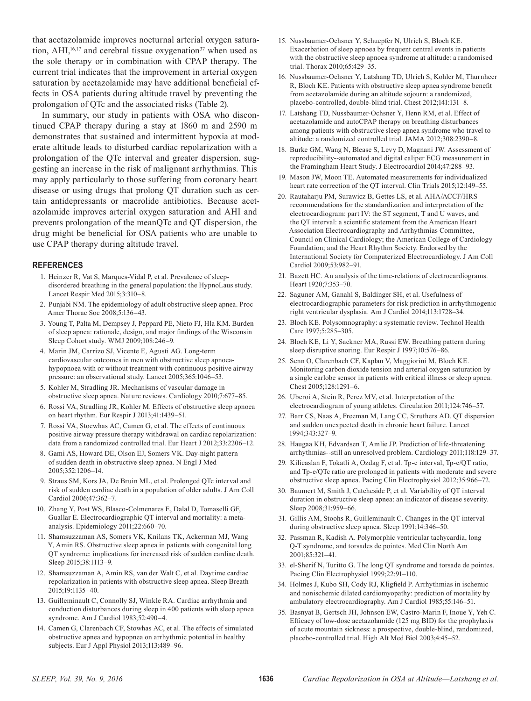that acetazolamide improves nocturnal arterial oxygen saturation,  $AHI<sub>16,17</sub>$  and cerebral tissue oxygenation<sup>37</sup> when used as the sole therapy or in combination with CPAP therapy. The current trial indicates that the improvement in arterial oxygen saturation by acetazolamide may have additional beneficial effects in OSA patients during altitude travel by preventing the prolongation of QTc and the associated risks (Table 2).

In summary, our study in patients with OSA who discontinued CPAP therapy during a stay at 1860 m and 2590 m demonstrates that sustained and intermittent hypoxia at moderate altitude leads to disturbed cardiac repolarization with a prolongation of the QTc interval and greater dispersion, suggesting an increase in the risk of malignant arrhythmias. This may apply particularly to those suffering from coronary heart disease or using drugs that prolong QT duration such as certain antidepressants or macrolide antibiotics. Because acetazolamide improves arterial oxygen saturation and AHI and prevents prolongation of the meanQTc and QT dispersion, the drug might be benefcial for OSA patients who are unable to use CPAP therapy during altitude travel.

#### **REFERENCES**

- 1. Heinzer R, Vat S, Marques-Vidal P, et al. Prevalence of sleepdisordered breathing in the general population: the HypnoLaus study. Lancet Respir Med 2015;3:310–8.
- 2. Punjabi NM. The epidemiology of adult obstructive sleep apnea. Proc Amer Thorac Soc 2008;5:136–43.
- 3. Young T, Palta M, Dempsey J, Peppard PE, Nieto FJ, Hla KM. Burden of sleep apnea: rationale, design, and major fndings of the Wisconsin Sleep Cohort study. WMJ 2009;108:246–9.
- 4. Marin JM, Carrizo SJ, Vicente E, Agusti AG. Long-term cardiovascular outcomes in men with obstructive sleep apnoeahypopnoea with or without treatment with continuous positive airway pressure: an observational study. Lancet 2005;365:1046–53.
- 5. Kohler M, Stradling JR. Mechanisms of vascular damage in obstructive sleep apnea. Nature reviews. Cardiology 2010;7:677–85.
- 6. Rossi VA, Stradling JR, Kohler M. Effects of obstructive sleep apnoea on heart rhythm. Eur Respir J 2013;41:1439–51.
- 7. Rossi VA, Stoewhas AC, Camen G, et al. The effects of continuous positive airway pressure therapy withdrawal on cardiac repolarization: data from a randomized controlled trial. Eur Heart J 2012;33:2206–12.
- 8. Gami AS, Howard DE, Olson EJ, Somers VK. Day-night pattern of sudden death in obstructive sleep apnea. N Engl J Med 2005;352:1206–14.
- 9. Straus SM, Kors JA, De Bruin ML, et al. Prolonged QTc interval and risk of sudden cardiac death in a population of older adults. J Am Coll Cardiol 2006;47:362–7.
- 10. Zhang Y, Post WS, Blasco-Colmenares E, Dalal D, Tomaselli GF, Guallar E. Electrocardiographic QT interval and mortality: a metaanalysis. Epidemiology 2011;22:660–70.
- 11. Shamsuzzaman AS, Somers VK, Knilans TK, Ackerman MJ, Wang Y, Amin RS. Obstructive sleep apnea in patients with congenital long QT syndrome: implications for increased risk of sudden cardiac death. Sleep 2015;38:1113–9.
- 12. Shamsuzzaman A, Amin RS, van der Walt C, et al. Daytime cardiac repolarization in patients with obstructive sleep apnea. Sleep Breath 2015;19:1135–40.
- 13. Guilleminault C, Connolly SJ, Winkle RA. Cardiac arrhythmia and conduction disturbances during sleep in 400 patients with sleep apnea syndrome. Am J Cardiol 1983;52:490–4.
- 14. Camen G, Clarenbach CF, Stowhas AC, et al. The effects of simulated obstructive apnea and hypopnea on arrhythmic potential in healthy subjects. Eur J Appl Physiol 2013;113:489–96.
- 15. Nussbaumer-Ochsner Y, Schuepfer N, Ulrich S, Bloch KE. Exacerbation of sleep apnoea by frequent central events in patients with the obstructive sleep apnoea syndrome at altitude: a randomised trial. Thorax 2010;65:429–35.
- 16. Nussbaumer-Ochsner Y, Latshang TD, Ulrich S, Kohler M, Thurnheer R, Bloch KE. Patients with obstructive sleep apnea syndrome beneft from acetazolamide during an altitude sojourn: a randomized, placebo-controlled, double-blind trial. Chest 2012;141:131–8.
- 17. Latshang TD, Nussbaumer-Ochsner Y, Henn RM, et al. Effect of acetazolamide and autoCPAP therapy on breathing disturbances among patients with obstructive sleep apnea syndrome who travel to altitude: a randomized controlled trial. JAMA 2012;308:2390–8.
- 18. Burke GM, Wang N, Blease S, Levy D, Magnani JW. Assessment of reproducibility--automated and digital caliper ECG measurement in the Framingham Heart Study. J Electrocardiol 2014;47:288–93.
- 19. Mason JW, Moon TE. Automated measurements for individualized heart rate correction of the QT interval. Clin Trials 2015;12:149–55.
- 20. Rautaharju PM, Surawicz B, Gettes LS, et al. AHA/ACCF/HRS recommendations for the standardization and interpretation of the electrocardiogram: part IV: the ST segment, T and U waves, and the QT interval: a scientifc statement from the American Heart Association Electrocardiography and Arrhythmias Committee, Council on Clinical Cardiology; the American College of Cardiology Foundation; and the Heart Rhythm Society. Endorsed by the International Society for Computerized Electrocardiology. J Am Coll Cardiol 2009;53:982–91.
- 21. Bazett HC. An analysis of the time-relations of electrocardiograms. Heart 1920;7:353–70.
- 22. Saguner AM, Ganahl S, Baldinger SH, et al. Usefulness of electrocardiographic parameters for risk prediction in arrhythmogenic right ventricular dysplasia. Am J Cardiol 2014;113:1728–34.
- 23. Bloch KE. Polysomnography: a systematic review. Technol Health Care 1997;5:285–305.
- 24. Bloch KE, Li Y, Sackner MA, Russi EW. Breathing pattern during sleep disruptive snoring. Eur Respir J 1997;10:576–86.
- 25. Senn O, Clarenbach CF, Kaplan V, Maggiorini M, Bloch KE. Monitoring carbon dioxide tension and arterial oxygen saturation by a single earlobe sensor in patients with critical illness or sleep apnea. Chest 2005;128:1291–6.
- 26. Uberoi A, Stein R, Perez MV, et al. Interpretation of the electrocardiogram of young athletes. Circulation 2011;124:746–57.
- 27. Barr CS, Naas A, Freeman M, Lang CC, Struthers AD. QT dispersion and sudden unexpected death in chronic heart failure. Lancet 1994;343:327–9.
- 28. Haugaa KH, Edvardsen T, Amlie JP. Prediction of life-threatening arrhythmias--still an unresolved problem. Cardiology 2011;118:129–37.
- 29. Kilicaslan F, Tokatli A, Ozdag F, et al. Tp-e interval, Tp-e/QT ratio, and Tp-e/QTc ratio are prolonged in patients with moderate and severe obstructive sleep apnea. Pacing Clin Electrophysiol 2012;35:966–72.
- 30. Baumert M, Smith J, Catcheside P, et al. Variability of QT interval duration in obstructive sleep apnea: an indicator of disease severity. Sleep 2008;31:959–66.
- 31. Gillis AM, Stoohs R, Guilleminault C. Changes in the QT interval during obstructive sleep apnea. Sleep 1991;14:346–50.
- 32. Passman R, Kadish A. Polymorphic ventricular tachycardia, long Q-T syndrome, and torsades de pointes. Med Clin North Am 2001;85:321–41.
- 33. el-Sherif N, Turitto G. The long QT syndrome and torsade de pointes. Pacing Clin Electrophysiol 1999;22:91–110.
- 34. Holmes J, Kubo SH, Cody RJ, Kligfeld P. Arrhythmias in ischemic and nonischemic dilated cardiomyopathy: prediction of mortality by ambulatory electrocardiography. Am J Cardiol 1985;55:146–51.
- 35. Basnyat B, Gertsch JH, Johnson EW, Castro-Marin F, Inoue Y, Yeh C. Effcacy of low-dose acetazolamide (125 mg BID) for the prophylaxis of acute mountain sickness: a prospective, double-blind, randomized, placebo-controlled trial. High Alt Med Biol 2003;4:45–52.